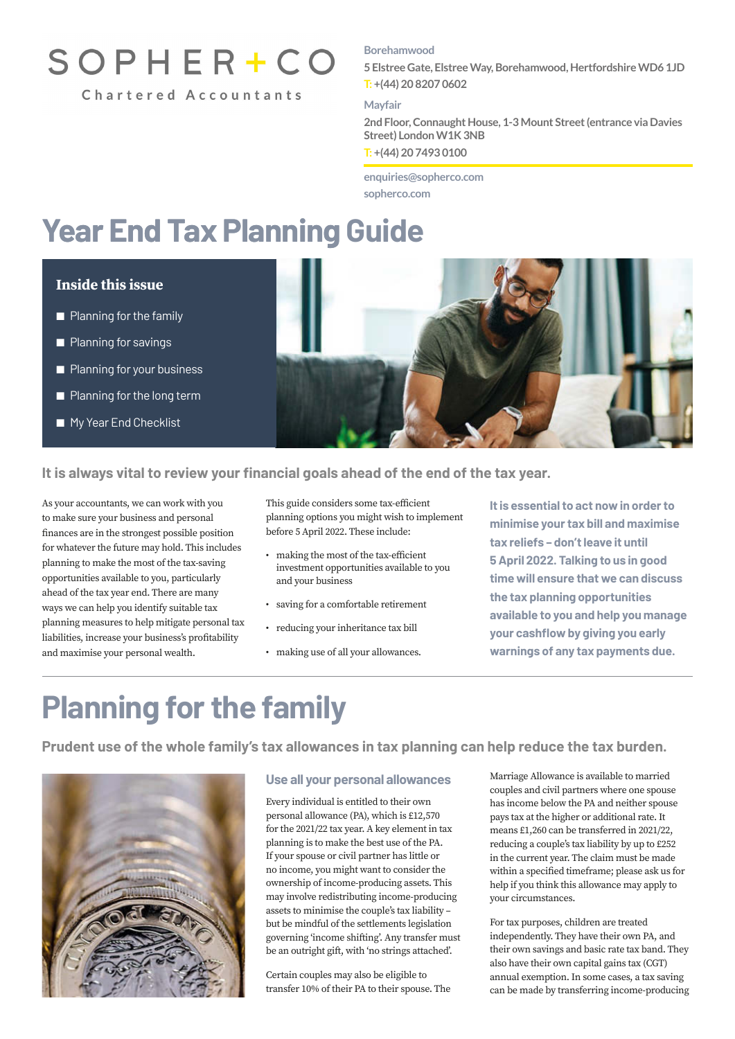# $SOPHER+CO$

Chartered Accountants

**Borehamwood**

**5 Elstree Gate, Elstree Way, Borehamwood, Hertfordshire WD6 1JD T: +(44) 20 8207 0602**

#### **Mayfair**

**2nd Floor, Connaught House, 1‑3 Mount Street (entrance via Davies Street) London W1K 3NB**

**T: +(44) 20 7493 0100**

**enquiries@sopherco.com sopherco.com**

# **Year End Tax Planning Guide Planning**

### **Inside this issue**

- Planning for the family
- Planning for savings
- Planning for your business
- Planning for the long term
- My Year End Checklist



# **It is always vital to review your financial goals ahead of the end of the tax year.**

As your accountants, we can work with you to make sure your business and personal finances are in the strongest possible position for whatever the future may hold. This includes planning to make the most of the tax-saving opportunities available to you, particularly ahead of the tax year end. There are many ways we can help you identify suitable tax planning measures to help mitigate personal tax liabilities, increase your business's profitability and maximise your personal wealth.

This guide considers some tax-efficient planning options you might wish to implement before 5 April 2022. These include:

- making the most of the tax-efficient investment opportunities available to you and your business
- saving for a comfortable retirement
- reducing your inheritance tax bill
- making use of all your allowances.

**It is essential to act now in order to minimise your tax bill and maximise tax reliefs – don't leave it until 5 April 2022. Talking to us in good time will ensure that we can discuss the tax planning opportunities available to you and help you manage your cashflow by giving you early warnings of any tax payments due.** 

# **Planning for the family**

**Prudent use of the whole family's tax allowances in tax planning can help reduce the tax burden.**



### **Use all your personal allowances**

Every individual is entitled to their own personal allowance (PA), which is £12,570 for the 2021/22 tax year. A key element in tax planning is to make the best use of the PA. If your spouse or civil partner has little or no income, you might want to consider the ownership of income-producing assets. This may involve redistributing income-producing assets to minimise the couple's tax liability – but be mindful of the settlements legislation governing 'income shifting'. Any transfer must be an outright gift, with 'no strings attached'.

Certain couples may also be eligible to transfer 10% of their PA to their spouse. The Marriage Allowance is available to married couples and civil partners where one spouse has income below the PA and neither spouse pays tax at the higher or additional rate. It means £1,260 can be transferred in 2021/22, reducing a couple's tax liability by up to £252 in the current year. The claim must be made within a specified timeframe; please ask us for help if you think this allowance may apply to your circumstances.

For tax purposes, children are treated independently. They have their own PA, and their own savings and basic rate tax band. They also have their own capital gains tax (CGT) annual exemption. In some cases, a tax saving can be made by transferring income-producing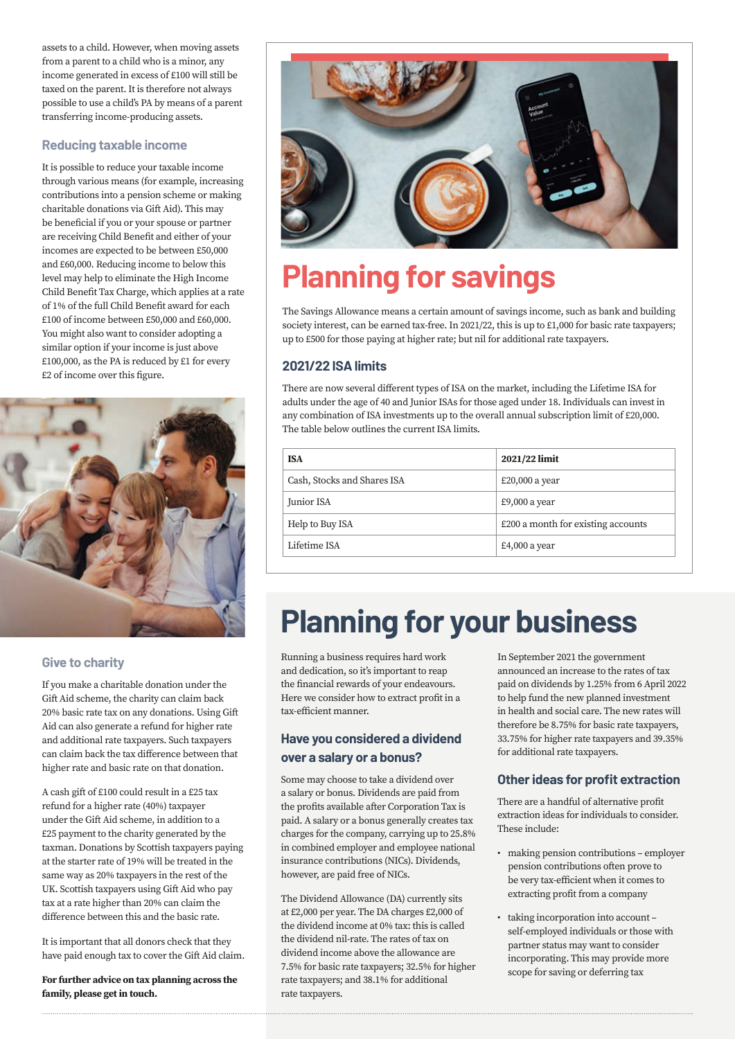assets to a child. However, when moving assets from a parent to a child who is a minor, any income generated in excess of £100 will still be taxed on the parent. It is therefore not always possible to use a child's PA by means of a parent transferring income-producing assets.

# **Reducing taxable income**

It is possible to reduce your taxable income through various means (for example, increasing contributions into a pension scheme or making charitable donations via Gift Aid). This may be beneficial if you or your spouse or partner are receiving Child Benefit and either of your incomes are expected to be between £50,000 and £60,000. Reducing income to below this level may help to eliminate the High Income Child Benefit Tax Charge, which applies at a rate of 1% of the full Child Benefit award for each £100 of income between £50,000 and £60,000. You might also want to consider adopting a similar option if your income is just above £100,000, as the PA is reduced by £1 for every £2 of income over this figure.



# **Give to charity**

If you make a charitable donation under the Gift Aid scheme, the charity can claim back 20% basic rate tax on any donations. Using Gift Aid can also generate a refund for higher rate and additional rate taxpayers. Such taxpayers can claim back the tax difference between that higher rate and basic rate on that donation.

A cash gift of £100 could result in a £25 tax refund for a higher rate (40%) taxpayer under the Gift Aid scheme, in addition to a £25 payment to the charity generated by the taxman. Donations by Scottish taxpayers paying at the starter rate of 19% will be treated in the same way as 20% taxpayers in the rest of the UK. Scottish taxpayers using Gift Aid who pay tax at a rate higher than 20% can claim the difference between this and the basic rate.

It is important that all donors check that they have paid enough tax to cover the Gift Aid claim.

**For further advice on tax planning across the family, please get in touch.**



# **Planning for savings**

The Savings Allowance means a certain amount of savings income, such as bank and building society interest, can be earned tax-free. In 2021/22, this is up to £1,000 for basic rate taxpayers; up to £500 for those paying at higher rate; but nil for additional rate taxpayers.

### **2021/22 ISA limits**

There are now several different types of ISA on the market, including the Lifetime ISA for adults under the age of 40 and Junior ISAs for those aged under 18. Individuals can invest in any combination of ISA investments up to the overall annual subscription limit of £20,000. The table below outlines the current ISA limits.

| <b>ISA</b>                  | 2021/22 limit                      |
|-----------------------------|------------------------------------|
| Cash, Stocks and Shares ISA | £20,000 a year                     |
| Junior ISA                  | £9,000 a year                      |
| Help to Buy ISA             | £200 a month for existing accounts |
| Lifetime ISA                | £4,000 a year                      |

# **Planning for your business**

Running a business requires hard work and dedication, so it's important to reap the financial rewards of your endeavours. Here we consider how to extract profit in a tax-efficient manner.

# **Have you considered a dividend over a salary or a bonus?**

Some may choose to take a dividend over a salary or bonus. Dividends are paid from the profits available after Corporation Tax is paid. A salary or a bonus generally creates tax charges for the company, carrying up to 25.8% in combined employer and employee national insurance contributions (NICs). Dividends, however, are paid free of NICs.

The Dividend Allowance (DA) currently sits at £2,000 per year. The DA charges £2,000 of the dividend income at 0% tax: this is called the dividend nil-rate. The rates of tax on dividend income above the allowance are 7.5% for basic rate taxpayers; 32.5% for higher rate taxpayers; and 38.1% for additional rate taxpayers.

In September 2021 the government announced an increase to the rates of tax paid on dividends by 1.25% from 6 April 2022 to help fund the new planned investment in health and social care. The new rates will therefore be 8.75% for basic rate taxpayers, 33.75% for higher rate taxpayers and 39.35% for additional rate taxpayers.

### **Other ideas for profit extraction**

There are a handful of alternative profit extraction ideas for individuals to consider. These include:

- making pension contributions employer pension contributions often prove to be very tax-efficient when it comes to extracting profit from a company
- taking incorporation into account self-employed individuals or those with partner status may want to consider incorporating. This may provide more scope for saving or deferring tax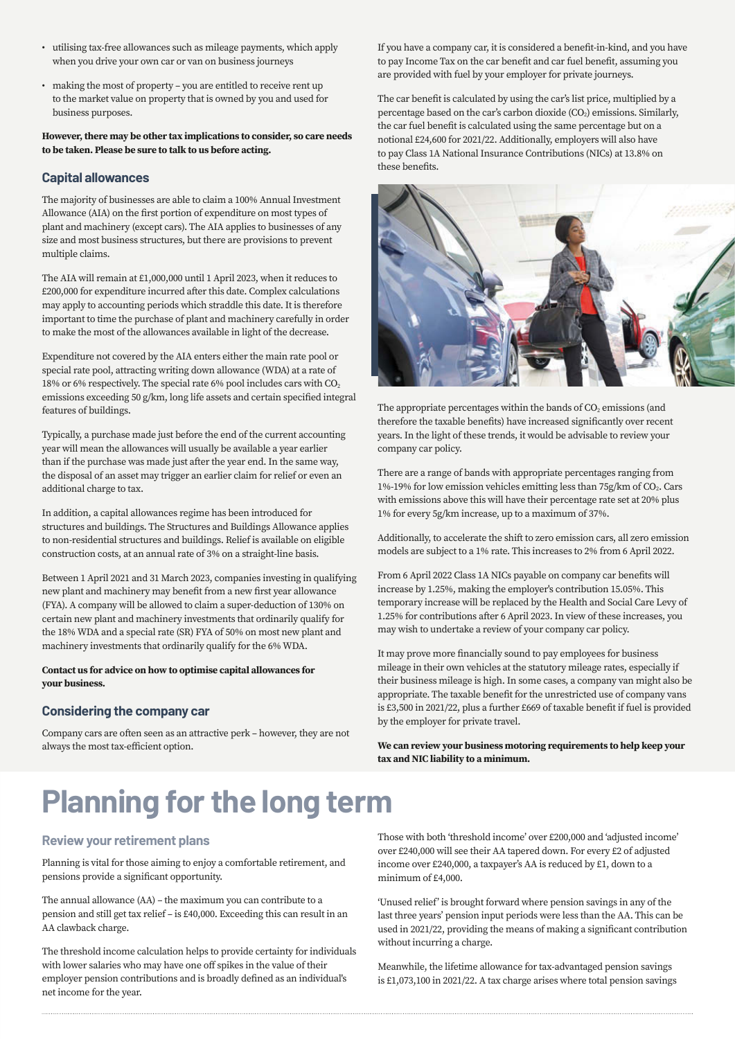- utilising tax-free allowances such as mileage payments, which apply when you drive your own car or van on business journeys
- making the most of property you are entitled to receive rent up to the market value on property that is owned by you and used for business purposes.

**However, there may be other tax implications to consider, so care needs to be taken. Please be sure to talk to us before acting.**

#### **Capital allowances**

The majority of businesses are able to claim a 100% Annual Investment Allowance (AIA) on the first portion of expenditure on most types of plant and machinery (except cars). The AIA applies to businesses of any size and most business structures, but there are provisions to prevent multiple claims.

The AIA will remain at £1,000,000 until 1 April 2023, when it reduces to £200,000 for expenditure incurred after this date. Complex calculations may apply to accounting periods which straddle this date. It is therefore important to time the purchase of plant and machinery carefully in order to make the most of the allowances available in light of the decrease.

Expenditure not covered by the AIA enters either the main rate pool or special rate pool, attracting writing down allowance (WDA) at a rate of 18% or 6% respectively. The special rate 6% pool includes cars with  $CO<sub>2</sub>$ emissions exceeding 50 g/km, long life assets and certain specified integral features of buildings.

Typically, a purchase made just before the end of the current accounting year will mean the allowances will usually be available a year earlier than if the purchase was made just after the year end. In the same way, the disposal of an asset may trigger an earlier claim for relief or even an additional charge to tax.

In addition, a capital allowances regime has been introduced for structures and buildings. The Structures and Buildings Allowance applies to non-residential structures and buildings. Relief is available on eligible construction costs, at an annual rate of 3% on a straight-line basis.

Between 1 April 2021 and 31 March 2023, companies investing in qualifying new plant and machinery may benefit from a new first year allowance (FYA). A company will be allowed to claim a super-deduction of 130% on certain new plant and machinery investments that ordinarily qualify for the 18% WDA and a special rate (SR) FYA of 50% on most new plant and machinery investments that ordinarily qualify for the 6% WDA.

**Contact us for advice on how to optimise capital allowances for your business.** 

#### **Considering the company car**

Company cars are often seen as an attractive perk – however, they are not always the most tax-efficient option.

If you have a company car, it is considered a benefit-in-kind, and you have to pay Income Tax on the car benefit and car fuel benefit, assuming you are provided with fuel by your employer for private journeys.

The car benefit is calculated by using the car's list price, multiplied by a percentage based on the car's carbon dioxide (CO<sub>2</sub>) emissions. Similarly, the car fuel benefit is calculated using the same percentage but on a notional £24,600 for 2021/22. Additionally, employers will also have to pay Class 1A National Insurance Contributions (NICs) at 13.8% on these benefits.



The appropriate percentages within the bands of  $CO<sub>2</sub>$  emissions (and therefore the taxable benefits) have increased significantly over recent years. In the light of these trends, it would be advisable to review your company car policy.

There are a range of bands with appropriate percentages ranging from 1%-19% for low emission vehicles emitting less than 75g/km of CO<sub>2</sub>. Cars with emissions above this will have their percentage rate set at 20% plus 1% for every 5g/km increase, up to a maximum of 37%.

Additionally, to accelerate the shift to zero emission cars, all zero emission models are subject to a 1% rate. This increases to 2% from 6 April 2022.

From 6 April 2022 Class 1A NICs payable on company car benefits will increase by 1.25%, making the employer's contribution 15.05%. This temporary increase will be replaced by the Health and Social Care Levy of 1.25% for contributions after 6 April 2023. In view of these increases, you may wish to undertake a review of your company car policy.

It may prove more financially sound to pay employees for business mileage in their own vehicles at the statutory mileage rates, especially if their business mileage is high. In some cases, a company van might also be appropriate. The taxable benefit for the unrestricted use of company vans is £3,500 in 2021/22, plus a further £669 of taxable benefit if fuel is provided by the employer for private travel.

**We can review your business motoring requirements to help keep your tax and NIC liability to a minimum.** 

# **Planning for the long term**

#### **Review your retirement plans**

Planning is vital for those aiming to enjoy a comfortable retirement, and pensions provide a significant opportunity.

The annual allowance (AA) – the maximum you can contribute to a pension and still get tax relief – is £40,000. Exceeding this can result in an AA clawback charge.

The threshold income calculation helps to provide certainty for individuals with lower salaries who may have one off spikes in the value of their employer pension contributions and is broadly defined as an individual's net income for the year.

Those with both 'threshold income' over £200,000 and 'adjusted income' over £240,000 will see their AA tapered down. For every £2 of adjusted income over £240,000, a taxpayer's AA is reduced by £1, down to a minimum of £4,000.

'Unused relief' is brought forward where pension savings in any of the last three years' pension input periods were less than the AA. This can be used in 2021/22, providing the means of making a significant contribution without incurring a charge.

Meanwhile, the lifetime allowance for tax-advantaged pension savings is £1,073,100 in 2021/22. A tax charge arises where total pension savings